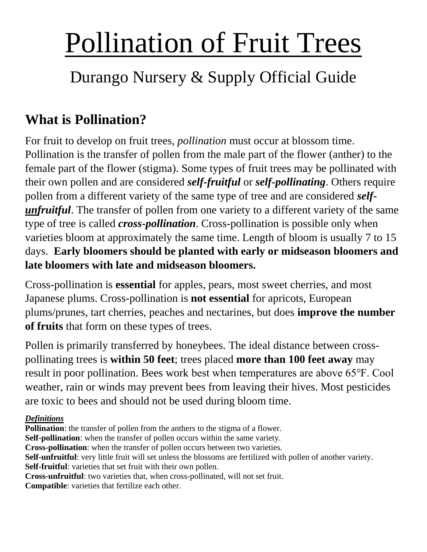# Pollination of Fruit Trees

## Durango Nursery & Supply Official Guide

### **What is Pollination?**

For fruit to develop on fruit trees, *pollination* must occur at blossom time. Pollination is the transfer of pollen from the male part of the flower (anther) to the female part of the flower (stigma). Some types of fruit trees may be pollinated with their own pollen and are considered *self-fruitful* or *self-pollinating*. Others require pollen from a different variety of the same type of tree and are considered *selfunfruitful*. The transfer of pollen from one variety to a different variety of the same type of tree is called *cross-pollination*. Cross-pollination is possible only when varieties bloom at approximately the same time. Length of bloom is usually 7 to 15 days. **Early bloomers should be planted with early or midseason bloomers and late bloomers with late and midseason bloomers.**

Cross-pollination is **essential** for apples, pears, most sweet cherries, and most Japanese plums. Cross-pollination is **not essential** for apricots, European plums/prunes, tart cherries, peaches and nectarines, but does **improve the number of fruits** that form on these types of trees.

Pollen is primarily transferred by honeybees. The ideal distance between crosspollinating trees is **within 50 feet**; trees placed **more than 100 feet away** may result in poor pollination. Bees work best when temperatures are above 65℉. Cool weather, rain or winds may prevent bees from leaving their hives. Most pesticides are toxic to bees and should not be used during bloom time.

#### *Definitions*

**Pollination**: the transfer of pollen from the anthers to the stigma of a flower. **Self-pollination**: when the transfer of pollen occurs within the same variety. **Cross-pollination**: when the transfer of pollen occurs between two varieties. **Self-unfruitful**: very little fruit will set unless the blossoms are fertilized with pollen of another variety. **Self-fruitful**: varieties that set fruit with their own pollen. **Cross-unfruitful**: two varieties that, when cross-pollinated, will not set fruit. **Compatible**: varieties that fertilize each other.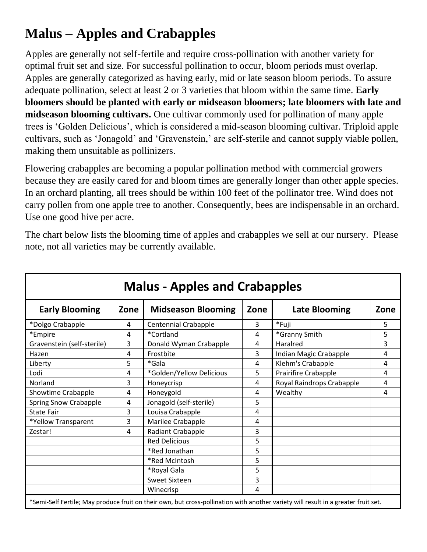#### **Malus – Apples and Crabapples**

Apples are generally not self-fertile and require cross-pollination with another variety for optimal fruit set and size. For successful pollination to occur, bloom periods must overlap. Apples are generally categorized as having early, mid or late season bloom periods. To assure adequate pollination, select at least 2 or 3 varieties that bloom within the same time. **Early bloomers should be planted with early or midseason bloomers; late bloomers with late and midseason blooming cultivars.** One cultivar commonly used for pollination of many apple trees is 'Golden Delicious', which is considered a mid-season blooming cultivar. Triploid apple cultivars, such as 'Jonagold' and 'Gravenstein,' are self-sterile and cannot supply viable pollen, making them unsuitable as pollinizers.

Flowering crabapples are becoming a popular pollination method with commercial growers because they are easily cared for and bloom times are generally longer than other apple species. In an orchard planting, all trees should be within 100 feet of the pollinator tree. Wind does not carry pollen from one apple tree to another. Consequently, bees are indispensable in an orchard. Use one good hive per acre.

The chart below lists the blooming time of apples and crabapples we sell at our nursery. Please note, not all varieties may be currently available.

| <b>Malus - Apples and Crabapples</b> |      |                                                                                                                                    |      |                           |      |  |  |
|--------------------------------------|------|------------------------------------------------------------------------------------------------------------------------------------|------|---------------------------|------|--|--|
| <b>Early Blooming</b>                | Zone | <b>Midseason Blooming</b>                                                                                                          | Zone | <b>Late Blooming</b>      | Zone |  |  |
| *Dolgo Crabapple                     | 4    | <b>Centennial Crabapple</b>                                                                                                        | 3    | *Fuji                     | 5.   |  |  |
| *Empire                              | 4    | *Cortland                                                                                                                          | 4    | *Granny Smith             | 5    |  |  |
| Gravenstein (self-sterile)           | 3    | Donald Wyman Crabapple                                                                                                             | 4    | Haralred                  | 3    |  |  |
| Hazen                                | 4    | Frostbite                                                                                                                          | 3    | Indian Magic Crabapple    | 4    |  |  |
| Liberty                              | 5    | *Gala                                                                                                                              | 4    | Klehm's Crabapple         | 4    |  |  |
| Lodi                                 | 4    | *Golden/Yellow Delicious                                                                                                           | 5    | Prairifire Crabapple      | 4    |  |  |
| Norland                              | 3    | Honeycrisp                                                                                                                         | 4    | Royal Raindrops Crabapple | 4    |  |  |
| Showtime Crabapple                   | 4    | Honeygold                                                                                                                          | 4    | Wealthy                   | 4    |  |  |
| <b>Spring Snow Crabapple</b>         | 4    | Jonagold (self-sterile)                                                                                                            | 5    |                           |      |  |  |
| <b>State Fair</b>                    | 3    | Louisa Crabapple                                                                                                                   | 4    |                           |      |  |  |
| *Yellow Transparent                  | 3    | Marilee Crabapple                                                                                                                  | 4    |                           |      |  |  |
| Zestar!                              | 4    | Radiant Crabapple                                                                                                                  | 3    |                           |      |  |  |
|                                      |      | <b>Red Delicious</b>                                                                                                               | 5    |                           |      |  |  |
|                                      |      | *Red Jonathan                                                                                                                      | 5    |                           |      |  |  |
|                                      |      | *Red McIntosh                                                                                                                      | 5    |                           |      |  |  |
|                                      |      | *Royal Gala                                                                                                                        | 5    |                           |      |  |  |
|                                      |      | <b>Sweet Sixteen</b>                                                                                                               | 3    |                           |      |  |  |
|                                      |      | Winecrisp                                                                                                                          | 4    |                           |      |  |  |
|                                      |      | *Semi-Self Fertile; May produce fruit on their own, but cross-pollination with another variety will result in a greater fruit set. |      |                           |      |  |  |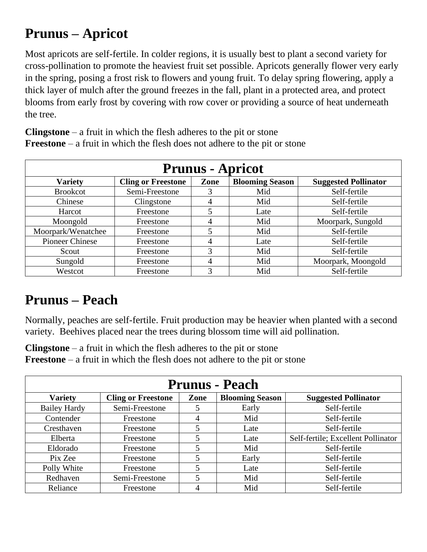#### **Prunus – Apricot**

Most apricots are self-fertile. In colder regions, it is usually best to plant a second variety for cross-pollination to promote the heaviest fruit set possible. Apricots generally flower very early in the spring, posing a frost risk to flowers and young fruit. To delay spring flowering, apply a thick layer of mulch after the ground freezes in the fall, plant in a protected area, and protect blooms from early frost by covering with row cover or providing a source of heat underneath the tree.

| <b>Prunus - Apricot</b> |                           |                |                        |                             |  |  |
|-------------------------|---------------------------|----------------|------------------------|-----------------------------|--|--|
| <b>Variety</b>          | <b>Cling or Freestone</b> | Zone           | <b>Blooming Season</b> | <b>Suggested Pollinator</b> |  |  |
| <b>Brookcot</b>         | Semi-Freestone            | 3              | Mid                    | Self-fertile                |  |  |
| Chinese                 | Clingstone                | $\overline{4}$ | Mid                    | Self-fertile                |  |  |
| Harcot                  | Freestone                 | 5              | Late                   | Self-fertile                |  |  |
| Moongold                | Freestone                 | 4              | Mid                    | Moorpark, Sungold           |  |  |
| Moorpark/Wenatchee      | Freestone                 | 5              | Mid                    | Self-fertile                |  |  |
| <b>Pioneer Chinese</b>  | Freestone                 | $\overline{4}$ | Late                   | Self-fertile                |  |  |
| Scout                   | Freestone                 | 3              | Mid                    | Self-fertile                |  |  |
| Sungold                 | Freestone                 | $\overline{4}$ | Mid                    | Moorpark, Moongold          |  |  |
| Westcot                 | Freestone                 | 3              | Mid                    | Self-fertile                |  |  |

**Clingstone** – a fruit in which the flesh adheres to the pit or stone **Freestone** – a fruit in which the flesh does not adhere to the pit or stone

#### **Prunus – Peach**

Normally, peaches are self-fertile. Fruit production may be heavier when planted with a second variety. Beehives placed near the trees during blossom time will aid pollination.

**Clingstone** – a fruit in which the flesh adheres to the pit or stone **Freestone** – a fruit in which the flesh does not adhere to the pit or stone

| <b>Prunus - Peach</b> |                           |      |                        |                                    |  |  |
|-----------------------|---------------------------|------|------------------------|------------------------------------|--|--|
| <b>Variety</b>        | <b>Cling or Freestone</b> | Zone | <b>Blooming Season</b> | <b>Suggested Pollinator</b>        |  |  |
| <b>Bailey Hardy</b>   | Semi-Freestone            |      | Early                  | Self-fertile                       |  |  |
| Contender             | Freestone                 | 4    | Mid                    | Self-fertile                       |  |  |
| Cresthaven            | Freestone                 |      | Late                   | Self-fertile                       |  |  |
| Elberta               | Freestone                 | 5    | Late                   | Self-fertile; Excellent Pollinator |  |  |
| Eldorado              | Freestone                 |      | Mid                    | Self-fertile                       |  |  |
| Pix Zee               | Freestone                 | 5    | Early                  | Self-fertile                       |  |  |
| Polly White           | Freestone                 | 5    | Late                   | Self-fertile                       |  |  |
| Redhaven              | Semi-Freestone            |      | Mid                    | Self-fertile                       |  |  |
| Reliance              | Freestone                 |      | Mid                    | Self-fertile                       |  |  |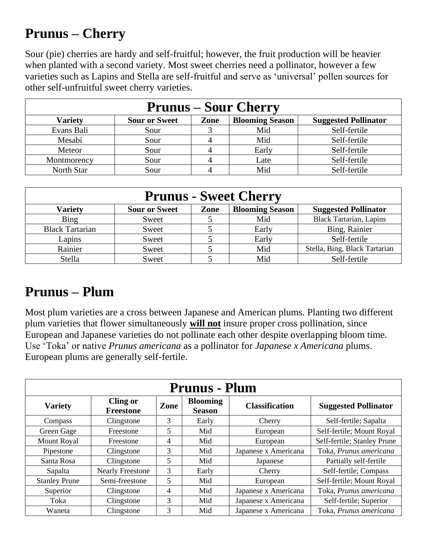#### **Prunus – Cherry**

Sour (pie) cherries are hardy and self-fruitful; however, the fruit production will be heavier when planted with a second variety. Most sweet cherries need a pollinator, however a few varieties such as Lapins and Stella are self-fruitful and serve as 'universal' pollen sources for other self-unfruitful sweet cherry varieties.

| <b>Prunus – Sour Cherry</b> |                                                                                       |   |       |              |  |  |  |
|-----------------------------|---------------------------------------------------------------------------------------|---|-------|--------------|--|--|--|
| Variety                     | <b>Sour or Sweet</b><br><b>Blooming Season</b><br>Zone<br><b>Suggested Pollinator</b> |   |       |              |  |  |  |
| Evans Bali                  | Sour                                                                                  |   | Mid   | Self-fertile |  |  |  |
| Mesabi                      | Sour                                                                                  | 4 | Mid   | Self-fertile |  |  |  |
| Meteor                      | Sour                                                                                  |   | Early | Self-fertile |  |  |  |
| Montmorency                 | Sour                                                                                  |   | Late  | Self-fertile |  |  |  |
| North Star                  | Sour                                                                                  |   | Mid   | Self-fertile |  |  |  |

| <b>Prunus - Sweet Cherry</b> |                                                                                       |  |       |                                |  |  |  |
|------------------------------|---------------------------------------------------------------------------------------|--|-------|--------------------------------|--|--|--|
| <b>Variety</b>               | <b>Blooming Season</b><br><b>Sour or Sweet</b><br><b>Suggested Pollinator</b><br>Zone |  |       |                                |  |  |  |
| Bing                         | Sweet                                                                                 |  | Mid   | <b>Black Tartarian, Lapins</b> |  |  |  |
| <b>Black Tartarian</b>       | Sweet                                                                                 |  | Early | Bing, Rainier                  |  |  |  |
| Lapins                       | Sweet                                                                                 |  | Early | Self-fertile                   |  |  |  |
| Rainier                      | Sweet                                                                                 |  | Mid   | Stella, Bing, Black Tartarian  |  |  |  |
| Stella                       | Sweet                                                                                 |  | Mid   | Self-fertile                   |  |  |  |

#### **Prunus – Plum**

Most plum varieties are a cross between Japanese and American plums. Planting two different plum varieties that flower simultaneously **will not** insure proper cross pollination, since European and Japanese varieties do not pollinate each other despite overlapping bloom time. Use 'Toka' or native *Prunus americana* as a pollinator for *Japanese x Americana* plums. European plums are generally self-fertile.

| <b>Prunus - Plum</b> |                                     |                |                                  |                       |                             |
|----------------------|-------------------------------------|----------------|----------------------------------|-----------------------|-----------------------------|
| <b>Variety</b>       | <b>Cling or</b><br><b>Freestone</b> | Zone           | <b>Blooming</b><br><b>Season</b> | <b>Classification</b> | <b>Suggested Pollinator</b> |
| Compass              | Clingstone                          | 3              | Early                            | Cherry                | Self-fertile; Sapalta       |
| Green Gage           | Freestone                           | 5              | Mid                              | European              | Self-fertile; Mount Royal   |
| <b>Mount Royal</b>   | Freestone                           | $\overline{4}$ | Mid                              | European              | Self-fertile; Stanley Prune |
| Pipestone            | Clingstone                          | 3              | Mid                              | Japanese x Americana  | Toka, Prunus americana      |
| Santa Rosa           | Clingstone                          | 5              | Mid                              | Japanese              | Partially self-fertile      |
| Sapalta              | <b>Nearly Freestone</b>             | 3              | Early                            | Cherry                | Self-fertile; Compass       |
| <b>Stanley Prune</b> | Semi-freestone                      | 5              | Mid                              | European              | Self-fertile; Mount Royal   |
| Superior             | Clingstone                          | 4              | Mid                              | Japanese x Americana  | Toka, Prunus americana      |
| Toka                 | Clingstone                          | 3              | Mid                              | Japanese x Americana  | Self-fertile; Superior      |
| Waneta               | Clingstone                          | 3              | Mid                              | Japanese x Americana  | Toka, Prunus americana      |